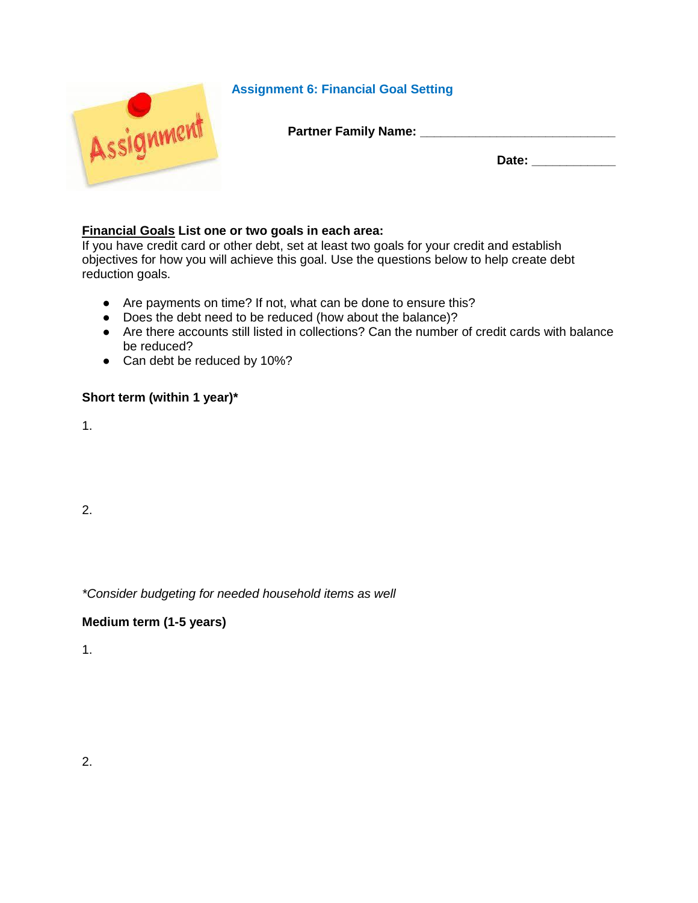## **Assignment 6: Financial Goal Setting**



**Partner Family Name: \_\_\_\_\_\_\_\_\_\_\_\_\_\_\_\_\_\_\_\_\_\_\_\_\_\_\_\_** 

**Date: \_\_\_\_\_\_\_\_\_\_\_\_** 

#### **Financial Goals List one or two goals in each area:**

If you have credit card or other debt, set at least two goals for your credit and establish objectives for how you will achieve this goal. Use the questions below to help create debt reduction goals.

- Are payments on time? If not, what can be done to ensure this?
- Does the debt need to be reduced (how about the balance)?
- Are there accounts still listed in collections? Can the number of credit cards with balance be reduced?
- Can debt be reduced by 10%?

#### **Short term (within 1 year)\***

1.

2.

*\*Consider budgeting for needed household items as well* 

#### **Medium term (1-5 years)**

1.